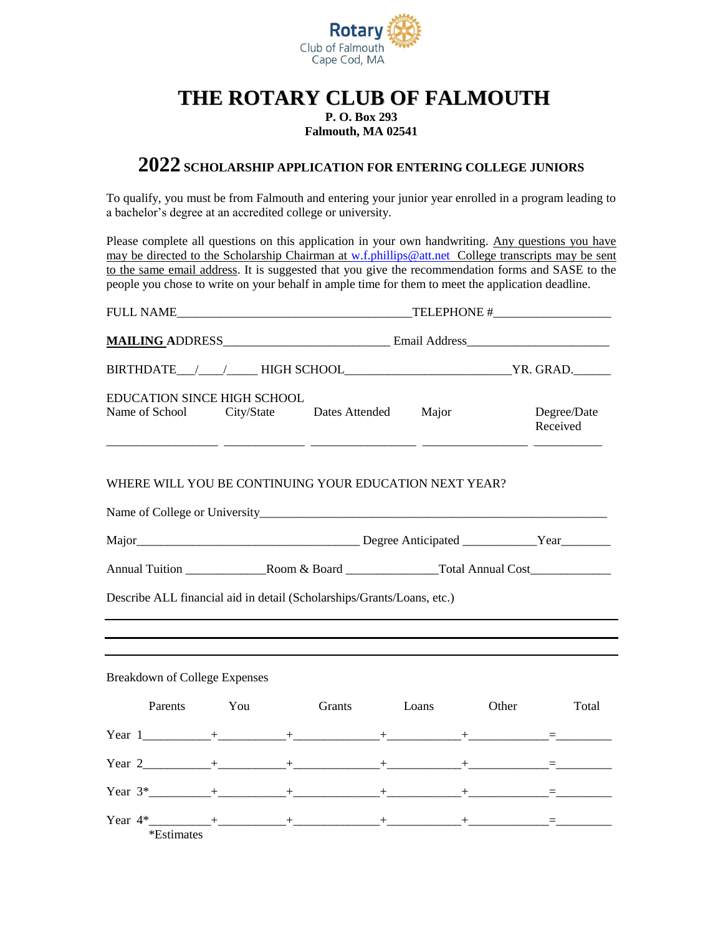

## **THE ROTARY CLUB OF FALMOUTH**

**P. O. Box 293 Falmouth, MA 02541**

## **2022 SCHOLARSHIP APPLICATION FOR ENTERING COLLEGE JUNIORS**

To qualify, you must be from Falmouth and entering your junior year enrolled in a program leading to a bachelor's degree at an accredited college or university.

Please complete all questions on this application in your own handwriting. Any questions you have may be directed to the Scholarship Chairman at [w.f.phillips@att.net](mailto:w.f.phillips@att.net) College transcripts may be sent to the same email address. It is suggested that you give the recommendation forms and SASE to the people you chose to write on your behalf in ample time for them to meet the application deadline.

| <b>EDUCATION SINCE HIGH SCHOOL</b><br>Name of School City/State                                                                                                                                                              |     | <u> 1989 - Johann John Stone, markin amerikan bisa di sebagai kecamatan dan bisa di sebagai kecamatan dan bisa di</u> | Dates Attended Major |       | Degree/Date<br>Received |
|------------------------------------------------------------------------------------------------------------------------------------------------------------------------------------------------------------------------------|-----|-----------------------------------------------------------------------------------------------------------------------|----------------------|-------|-------------------------|
| WHERE WILL YOU BE CONTINUING YOUR EDUCATION NEXT YEAR?                                                                                                                                                                       |     |                                                                                                                       |                      |       |                         |
| Name of College or University                                                                                                                                                                                                |     |                                                                                                                       |                      |       |                         |
|                                                                                                                                                                                                                              |     |                                                                                                                       |                      |       |                         |
|                                                                                                                                                                                                                              |     |                                                                                                                       |                      |       |                         |
| Describe ALL financial aid in detail (Scholarships/Grants/Loans, etc.)                                                                                                                                                       |     |                                                                                                                       |                      |       |                         |
|                                                                                                                                                                                                                              |     |                                                                                                                       |                      |       |                         |
| <b>Breakdown of College Expenses</b>                                                                                                                                                                                         |     |                                                                                                                       |                      |       |                         |
| Parents                                                                                                                                                                                                                      | You | Grants                                                                                                                | Loans                | Other | Total                   |
|                                                                                                                                                                                                                              |     |                                                                                                                       |                      |       |                         |
|                                                                                                                                                                                                                              |     |                                                                                                                       |                      |       |                         |
| Year $3^*$ $1^*$ $1^*$ $1^*$ $1^*$ $1^*$ $1^*$ $1^*$ $1^*$ $1^*$ $1^*$ $1^*$ $1^*$ $1^*$ $1^*$ $1^*$ $1^*$ $1^*$ $1^*$ $1^*$ $1^*$ $1^*$ $1^*$ $1^*$ $1^*$ $1^*$ $1^*$ $1^*$ $1^*$ $1^*$ $1^*$ $1^*$ $1^*$ $1^*$ $1^*$ $1^*$ |     |                                                                                                                       |                      |       |                         |
| *Estimates                                                                                                                                                                                                                   |     |                                                                                                                       |                      |       |                         |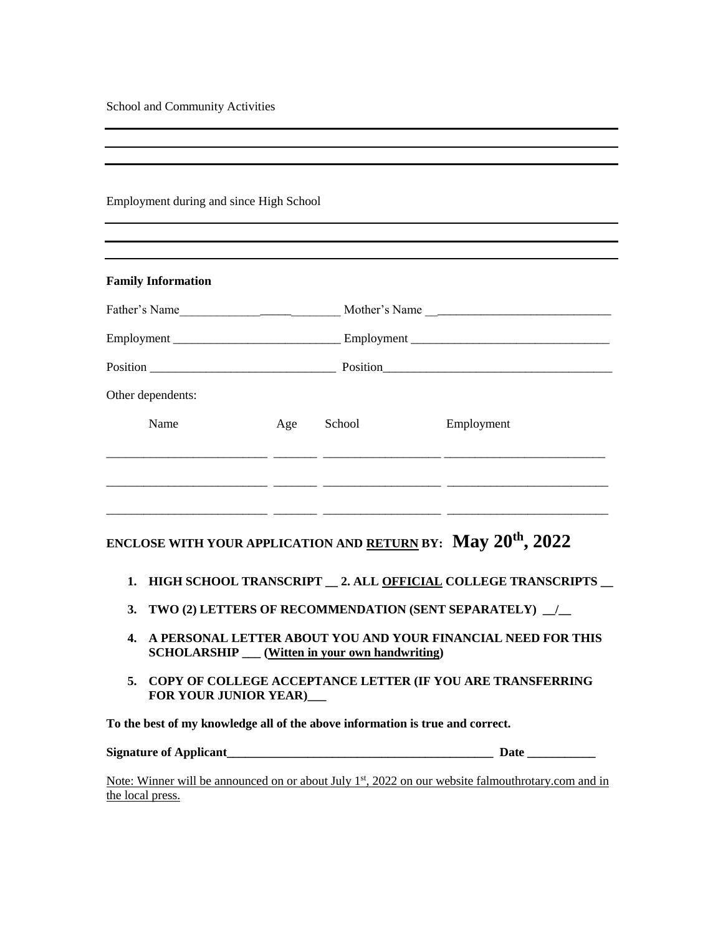School and Community Activities

| Employment during and since High School                                       |  |            |                                                                                                                      |
|-------------------------------------------------------------------------------|--|------------|----------------------------------------------------------------------------------------------------------------------|
|                                                                               |  |            |                                                                                                                      |
| <b>Family Information</b>                                                     |  |            |                                                                                                                      |
|                                                                               |  |            |                                                                                                                      |
|                                                                               |  |            |                                                                                                                      |
|                                                                               |  |            |                                                                                                                      |
| Other dependents:                                                             |  |            |                                                                                                                      |
| Name                                                                          |  | Age School | Employment                                                                                                           |
|                                                                               |  |            |                                                                                                                      |
|                                                                               |  |            | <u> 2000 - 2000 - 2000 - 2000 - 2000 - 2000 - 2000 - 2000 - 2000 - 2000 - 2000 - 2000 - 2000 - 2000 - 2000 - 200</u> |
|                                                                               |  |            |                                                                                                                      |
|                                                                               |  |            | ENCLOSE WITH YOUR APPLICATION AND RETURN BY: May 20 <sup>th</sup> , 2022                                             |
| 1.                                                                            |  |            | HIGH SCHOOL TRANSCRIPT __ 2. ALL OFFICIAL COLLEGE TRANSCRIPTS __                                                     |
| 3.                                                                            |  |            | TWO (2) LETTERS OF RECOMMENDATION (SENT SEPARATELY) _/_                                                              |
| 4.<br><b>SCHOLARSHIP</b> __ (Witten in your own handwriting)                  |  |            | A PERSONAL LETTER ABOUT YOU AND YOUR FINANCIAL NEED FOR THIS                                                         |
| 5.<br><b>FOR YOUR JUNIOR YEAR)__</b>                                          |  |            | COPY OF COLLEGE ACCEPTANCE LETTER (IF YOU ARE TRANSFERRING                                                           |
| To the best of my knowledge all of the above information is true and correct. |  |            |                                                                                                                      |
|                                                                               |  |            |                                                                                                                      |
| the local press.                                                              |  |            | Note: Winner will be announced on or about July $1st$ , 2022 on our website falmouthrotary.com and in                |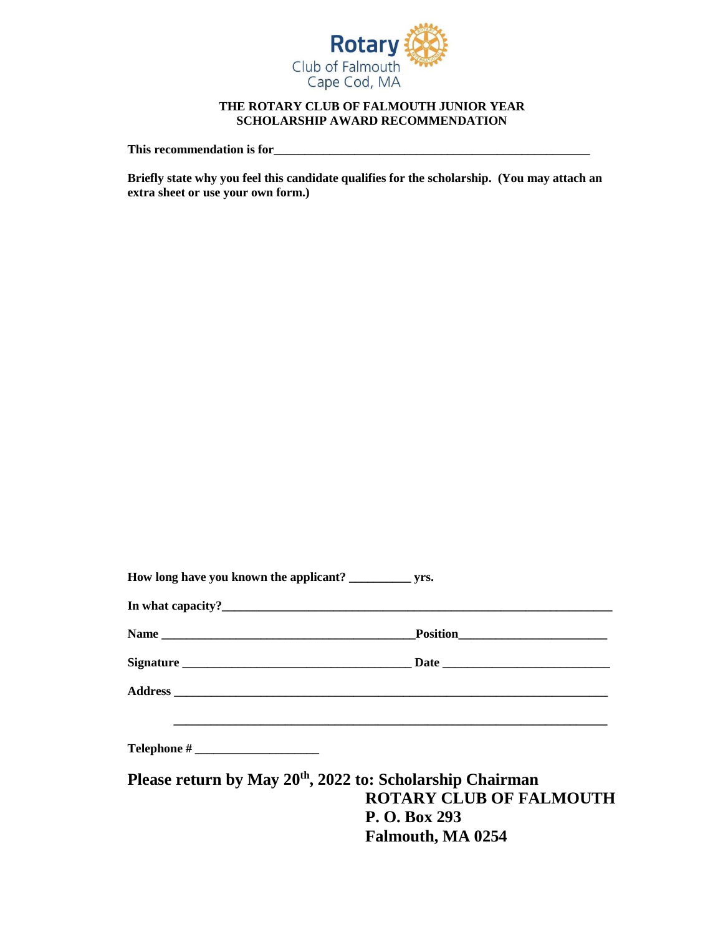

## **THE ROTARY CLUB OF FALMOUTH JUNIOR YEAR SCHOLARSHIP AWARD RECOMMENDATION**

**This recommendation is for\_\_\_\_\_\_\_\_\_\_\_\_\_\_\_\_\_\_\_\_\_\_\_\_\_\_\_\_\_\_\_\_\_\_\_\_\_\_\_\_\_\_\_\_\_\_\_\_\_\_\_**

**Briefly state why you feel this candidate qualifies for the scholarship. (You may attach an extra sheet or use your own form.)**

| In what capacity?                                                     |                                |
|-----------------------------------------------------------------------|--------------------------------|
|                                                                       |                                |
|                                                                       |                                |
|                                                                       |                                |
| $\text{Telephone} \# \_$                                              |                                |
| Please return by May 20 <sup>th</sup> , 2022 to: Scholarship Chairman |                                |
|                                                                       | <b>ROTARY CLUB OF FALMOUTH</b> |
|                                                                       | P. O. Box 293                  |
|                                                                       | Falmouth, MA 0254              |